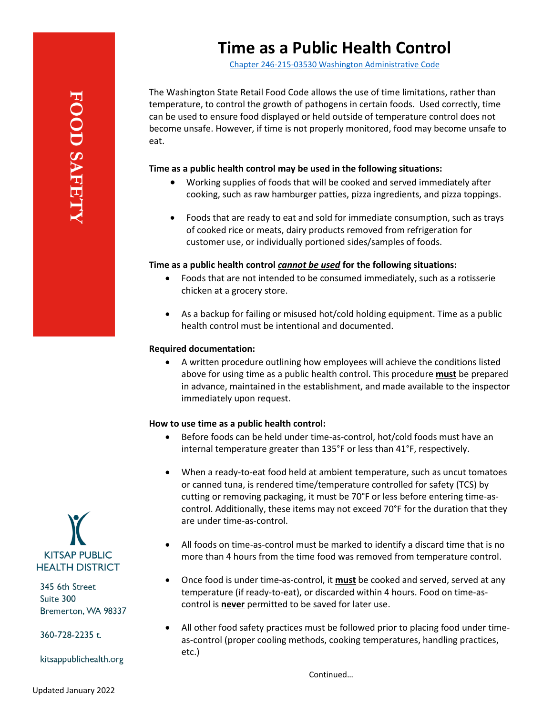## **Time as a Public Health Control**

[Chapter 246-215-03530 Washington Administrative Code](https://app.leg.wa.gov/WAC/default.aspx?cite=246-215-03530)

The Washington State Retail Food Code allows the use of time limitations, rather than temperature, to control the growth of pathogens in certain foods. Used correctly, time can be used to ensure food displayed or held outside of temperature control does not become unsafe. However, if time is not properly monitored, food may become unsafe to eat.

### **Time as a public health control may be used in the following situations:**

- Working supplies of foods that will be cooked and served immediately after cooking, such as raw hamburger patties, pizza ingredients, and pizza toppings.
- Foods that are ready to eat and sold for immediate consumption, such as trays of cooked rice or meats, dairy products removed from refrigeration for customer use, or individually portioned sides/samples of foods.

### **Time as a public health control** *cannot be used* **for the following situations:**

- Foods that are not intended to be consumed immediately, such as a rotisserie chicken at a grocery store.
- As a backup for failing or misused hot/cold holding equipment. Time as a public health control must be intentional and documented.

### **Required documentation:**

• A written procedure outlining how employees will achieve the conditions listed above for using time as a public health control. This procedure **must** be prepared in advance, maintained in the establishment, and made available to the inspector immediately upon request.

#### **How to use time as a public health control:**

- Before foods can be held under time-as-control, hot/cold foods must have an internal temperature greater than 135°F or less than 41°F, respectively.
- When a ready-to-eat food held at ambient temperature, such as uncut tomatoes or canned tuna, is rendered time/temperature controlled for safety (TCS) by cutting or removing packaging, it must be 70°F or less before entering time-ascontrol. Additionally, these items may not exceed 70°F for the duration that they are under time-as-control.
- All foods on time-as-control must be marked to identify a discard time that is no more than 4 hours from the time food was removed from temperature control.
- Once food is under time-as-control, it **must** be cooked and served, served at any temperature (if ready-to-eat), or discarded within 4 hours. Food on time-ascontrol is **never** permitted to be saved for later use.
- All other food safety practices must be followed prior to placing food under timeas-control (proper cooling methods, cooking temperatures, handling practices, etc.)

Continued…



345 6th Street Suite 300 Bremerton, WA 98337

360-728-2235 t.

kitsappublichealth.org